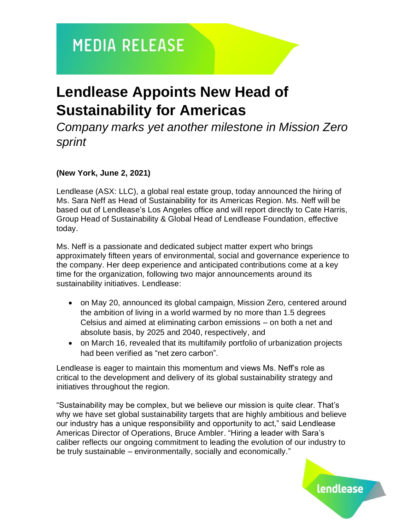## **MEDIA RELEASE**

## **Lendlease Appoints New Head of Sustainability for Americas**

*Company marks yet another milestone in Mission Zero sprint*

### **(New York, June 2, 2021)**

Lendlease (ASX: LLC), a global real estate group, today announced the hiring of Ms. Sara Neff as Head of Sustainability for its Americas Region. Ms. Neff will be based out of Lendlease's Los Angeles office and will report directly to Cate Harris, Group Head of Sustainability & Global Head of Lendlease Foundation, effective today.

Ms. Neff is a passionate and dedicated subject matter expert who brings approximately fifteen years of environmental, social and governance experience to the company. Her deep experience and anticipated contributions come at a key time for the organization, following two major announcements around its sustainability initiatives. Lendlease:

- on May 20, announced its global campaign, Mission Zero, centered around the ambition of living in a world warmed by no more than 1.5 degrees Celsius and aimed at eliminating carbon emissions – on both a net and absolute basis, by 2025 and 2040, respectively, and
- on March 16, revealed that its multifamily portfolio of urbanization projects had been verified as "net zero carbon".

Lendlease is eager to maintain this momentum and views Ms. Neff's role as critical to the development and delivery of its global sustainability strategy and initiatives throughout the region.

"Sustainability may be complex, but we believe our mission is quite clear. That's why we have set global sustainability targets that are highly ambitious and believe our industry has a unique responsibility and opportunity to act," said Lendlease Americas Director of Operations, Bruce Ambler. "Hiring a leader with Sara's caliber reflects our ongoing commitment to leading the evolution of our industry to be truly sustainable – environmentally, socially and economically."

lendlease